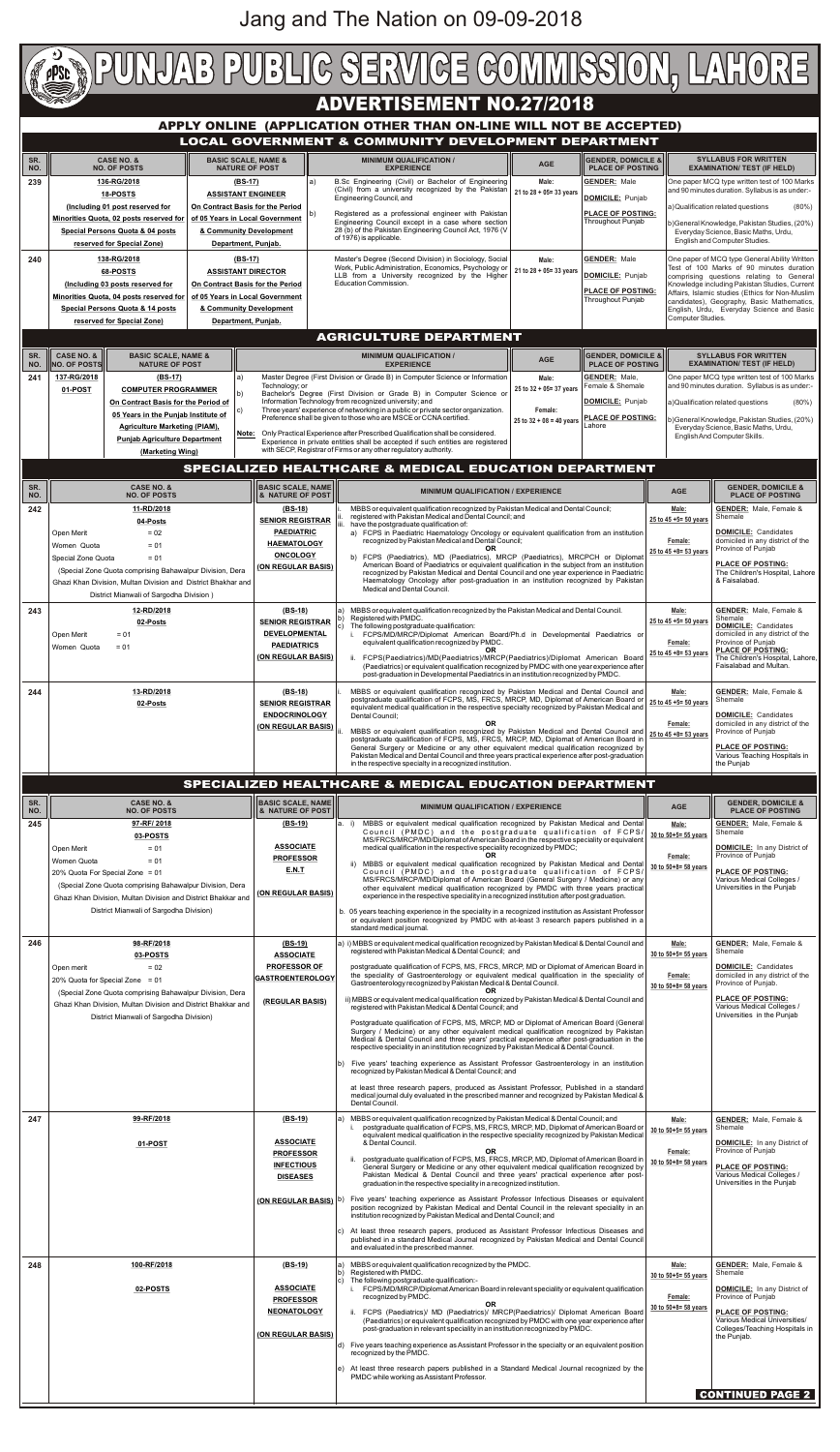

| SR.<br>NO. | CASE NO. &<br><b>NO. OF POSTS</b>                                                                                                                                                                                                                                                  | <b>  BASIC SCALE, NAME </b><br><b>&amp; NATURE OF POST</b>                                       | <b>MINIMUM QUALIFICATION / EXPERIENCE</b>                                                                                                                                                                                                                                                                                                                                                                                                                                                                                                                                                                                                                                                                                                                                                                                                                                                                                                                                                                                                                                                                                                                                                                                                                                                                                                              | <b>AGE</b>                                                        | <b>GENDER. DOMICILE &amp;</b><br><b>PLACE OF POSTING</b>                                                                                                                                                                                       |
|------------|------------------------------------------------------------------------------------------------------------------------------------------------------------------------------------------------------------------------------------------------------------------------------------|--------------------------------------------------------------------------------------------------|--------------------------------------------------------------------------------------------------------------------------------------------------------------------------------------------------------------------------------------------------------------------------------------------------------------------------------------------------------------------------------------------------------------------------------------------------------------------------------------------------------------------------------------------------------------------------------------------------------------------------------------------------------------------------------------------------------------------------------------------------------------------------------------------------------------------------------------------------------------------------------------------------------------------------------------------------------------------------------------------------------------------------------------------------------------------------------------------------------------------------------------------------------------------------------------------------------------------------------------------------------------------------------------------------------------------------------------------------------|-------------------------------------------------------------------|------------------------------------------------------------------------------------------------------------------------------------------------------------------------------------------------------------------------------------------------|
| 245        | 97-RF/2018<br>03-POSTS<br>$= 01$<br>Open Merit<br>Women Quota<br>$= 01$<br>20% Quota For Special Zone = 01<br>(Special Zone Quota comprising Bahawalpur Division, Dera<br>Ghazi Khan Division, Multan Division and District Bhakkar and<br>District Mianwali of Sargodha Division) | $(BS-19)$<br><b>ASSOCIATE</b><br><b>PROFESSOR</b><br><b>E.N.T</b><br><b>(ON REGULAR BASIS)</b>   | a. i) MBBS or equivalent medical qualification recognized by Pakistan Medical and Dental<br>Council (PMDC) and the postgraduate qualification of FCPS/<br>MS/FRCS/MRCP/MD/Diplomat of American Board in the respective speciality or equivalent<br>medical qualification in the respective speciality recognized by PMDC;<br>ii) MBBS or equivalent medical qualification recognized by Pakistan Medical and Dental<br>Council (PMDC) and the postgraduate qualification of FCPS/<br>MS/FRCS/MRCP/MD/Diplomat of American Board (General Surgery / Medicine) or any<br>other equivalent medical qualification recognized by PMDC with three years practical<br>experience in the respective speciality in a recognized institution after post graduation.<br>b. 05 years teaching experience in the speciality in a recognized institution as Assistant Professor<br>or equivalent position recognized by PMDC with at-least 3 research papers published in a<br>standard medical journal.                                                                                                                                                                                                                                                                                                                                                             | Male:<br>30 to 50+5= 55 years<br>Female:<br>30 to 50+8= 58 years  | <b>GENDER:</b> Male, Female &<br>Shemale<br><b>DOMICILE:</b> In any District of<br>Province of Puniab<br><b>PLACE OF POSTING:</b><br>Various Medical Colleges /<br>Universities in the Punjab                                                  |
| 246        | 98-RF/2018<br>03-POSTS<br>$= 02$<br>Open merit<br>20% Quota for Special Zone = 01<br>(Special Zone Quota comprising Bahawalpur Division, Dera<br>Ghazi Khan Division, Multan Division and District Bhakkar and<br>District Mianwali of Sargodha Division)                          | (BS-19)<br><b>ASSOCIATE</b><br><b>PROFESSOR OF</b><br><b>GASTROENTEROLOGY</b><br>(REGULAR BASIS) | a) i) MBBS or equivalent medical qualification recognized by Pakistan Medical & Dental Council and<br>registered with Pakistan Medical & Dental Council; and<br>postgraduate qualification of FCPS, MS, FRCS, MRCP, MD or Diplomat of American Board in<br>the speciality of Gastroenterology or equivalent medical qualification in the speciality of<br>Gastroenterology recognized by Pakistan Medical & Dental Council.<br>OR.<br>ii) MBBS or equivalent medical qualification recognized by Pakistan Medical & Dental Council and<br>registered with Pakistan Medical & Dental Council; and<br>Postgraduate qualification of FCPS, MS, MRCP, MD or Diplomat of American Board (General<br>Surgery / Medicine) or any other equivalent medical qualification recognized by Pakistan<br>Medical & Dental Council and three years' practical experience after post-graduation in the<br>respective speciality in an institution recognized by Pakistan Medical & Dental Council.<br>Five years' teaching experience as Assistant Professor Gastroenterology in an institution<br>recognized by Pakistan Medical & Dental Council; and<br>at least three research papers, produced as Assistant Professor, Published in a standard<br>medical journal duly evaluated in the prescribed manner and recognized by Pakistan Medical &<br>Dental Council. | Male:<br>30 to 50+5= 55 years<br>Female:<br>30 to 50+8= 58 years  | <b>GENDER:</b> Male, Female &<br>Shemale<br><b>DOMICILE:</b> Candidates<br>domiciled in any district of the<br>Province of Punjab.<br><b>PLACE OF POSTING:</b><br>Various Medical Colleges /<br>Universities in the Punjab                     |
| 247        | 99-RF/2018<br>01-POST                                                                                                                                                                                                                                                              | $(BS-19)$<br><b>ASSOCIATE</b><br><b>PROFESSOR</b><br><b>INFECTIOUS</b><br><b>DISEASES</b>        | a) MBBS or equivalent qualification recognized by Pakistan Medical & Dental Council; and<br>postgraduate qualification of FCPS, MS, FRCS, MRCP, MD, Diplomat of American Board or<br>equivalent medical qualification in the respective speciality recognized by Pakistan Medical<br>& Dental Council.<br><b>OR</b><br>ii. postgraduate qualification of FCPS, MS, FRCS, MRCP, MD, Diplomat of American Board in<br>General Surgery or Medicine or any other equivalent medical qualification recognized by<br>Pakistan Medical & Dental Council and three years' practical experience after post-<br>graduation in the respective speciality in a recognized institution.<br>(ON REGULAR BASIS) (b) Five years' teaching experience as Assistant Professor Infectious Diseases or equivalent<br>position recognized by Pakistan Medical and Dental Council in the relevant speciality in an<br>institution recognized by Pakistan Medical and Dental Council; and<br>c) At least three research papers, produced as Assistant Professor Infectious Diseases and<br>published in a standard Medical Journal recognized by Pakistan Medical and Dental Council<br>and evaluated in the prescribed manner.                                                                                                                                               | Male:<br>30 to 50+5= 55 years<br>Female:<br>30 to 50+8= 58 years  | <b>GENDER:</b> Male, Female &<br>Shemale<br><b>DOMICILE:</b> In any District of<br>Province of Punjab<br><b>PLACE OF POSTING:</b><br>Various Medical Colleges /<br>Universities in the Punjab                                                  |
| 248        | 100-RF/2018<br>02-POSTS                                                                                                                                                                                                                                                            | (BS-19)<br><b>ASSOCIATE</b><br><b>PROFESSOR</b><br><b>NEONATOLOGY</b><br>(ON REGULAR BASIS)      | MBBS or equivalent qualification recognized by the PMDC.<br>Registered with PMDC.<br>b)<br>c) The following postgraduate qualification:-<br>i. FCPS/MD/MRCP/Diplomat American Board in relevant speciality or equivalent qualification<br>recognized by PMDC.<br>OR.<br>ii. FCPS (Paediatrics)/ MD (Paediatrics)/ MRCP(Paediatrics)/ Diplomat American Board<br>(Paediatrics) or equivalent qualification recognized by PMDC with one year experience after<br>post-graduation in relevant speciality in an institution recognized by PMDC.<br>d) Five years teaching experience as Assistant Professor in the specialty or an equivalent position<br>recognized by the PMDC.<br>e) At least three research papers published in a Standard Medical Journal recognized by the<br>PMDC while working as Assistant Professor.                                                                                                                                                                                                                                                                                                                                                                                                                                                                                                                             | Male:<br>30 to $50+5=55$ years<br>Female:<br>30 to 50+8= 58 years | <b>GENDER:</b> Male, Female &<br>Shemale<br><b>DOMICILE:</b> In any District of<br>Province of Punjab<br><b>PLACE OF POSTING:</b><br>Various Medical Universities/<br>Colleges/Teaching Hospitals in<br>the Punjab.<br><b>CONTINUED PAGE 2</b> |

Jang and The Nation on 09-09-2018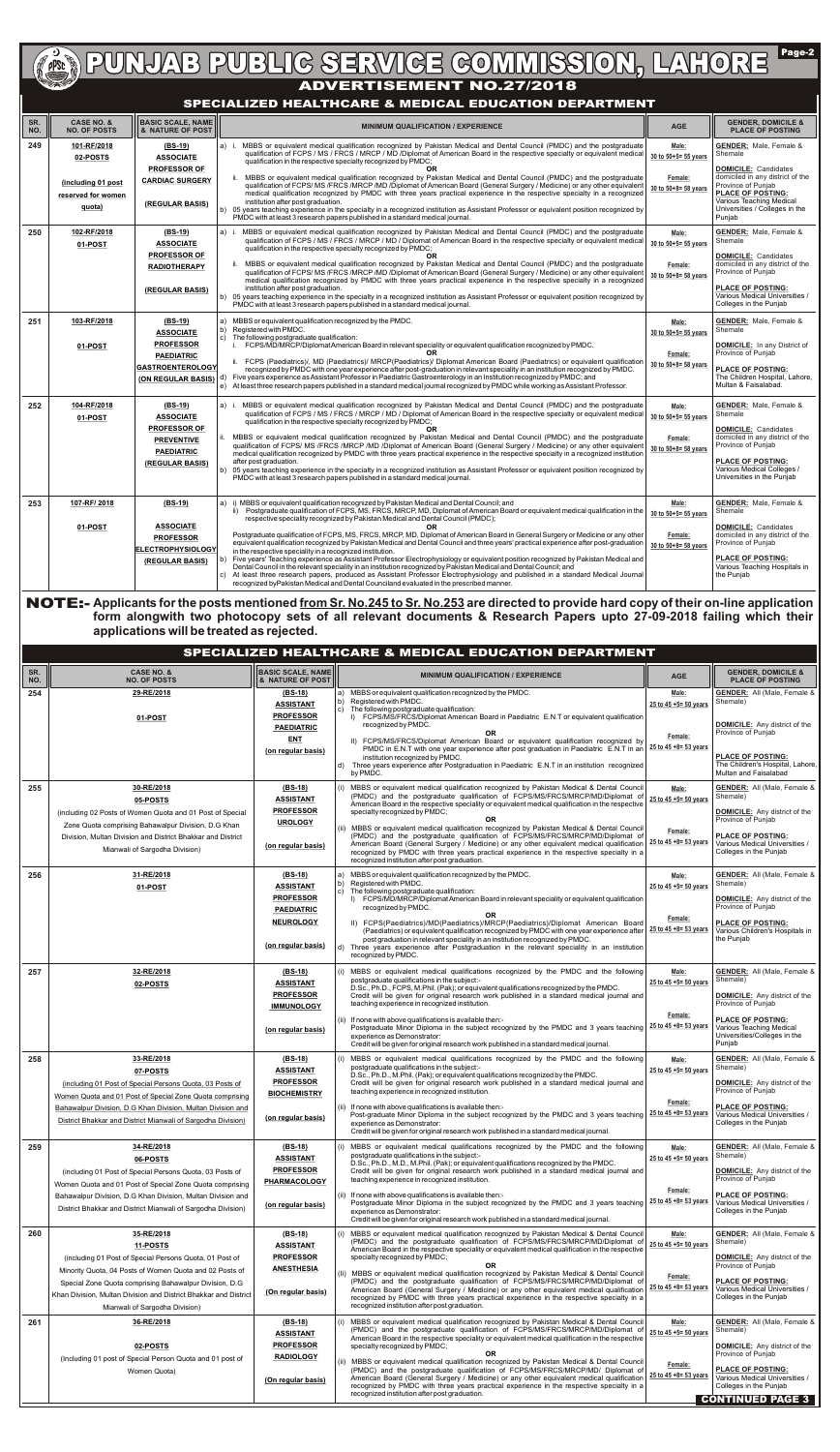| SR.<br>NO. | <b>CASE NO. &amp;</b><br><b>NO. OF POSTS</b>                                  | <b>BASIC SCALE, NAME</b><br>& NATURE OF POST                                                                            | <b>MINIMUM QUALIFICATION / EXPERIENCE</b>                                                                                                                                                                                                                                                                                                                                                                                                                                                                                                                                                                                                                                                                                                                                                                                                                                                                                                                                                                                                                                                                                                                               | <b>AGE</b>                                                          | <b>GENDER, DOMICILE &amp;</b><br><b>PLACE OF POSTING</b>                                                                                                                                                                                  |
|------------|-------------------------------------------------------------------------------|-------------------------------------------------------------------------------------------------------------------------|-------------------------------------------------------------------------------------------------------------------------------------------------------------------------------------------------------------------------------------------------------------------------------------------------------------------------------------------------------------------------------------------------------------------------------------------------------------------------------------------------------------------------------------------------------------------------------------------------------------------------------------------------------------------------------------------------------------------------------------------------------------------------------------------------------------------------------------------------------------------------------------------------------------------------------------------------------------------------------------------------------------------------------------------------------------------------------------------------------------------------------------------------------------------------|---------------------------------------------------------------------|-------------------------------------------------------------------------------------------------------------------------------------------------------------------------------------------------------------------------------------------|
| 249        | 101-RF/2018<br>02-POSTS<br>(including 01 post<br>reserved for women<br>quota) | (BS-19)<br><b>ASSOCIATE</b><br><b>PROFESSOR OF</b><br><b>CARDIAC SURGERY</b><br>(REGULAR BASIS)                         | MBBS or equivalent medical qualification recognized by Pakistan Medical and Dental Council (PMDC) and the postgraduate<br>a) i.<br>qualification of FCPS / MS / FRCS / MRCP / MD /Diplomat of American Board in the respective specialty or equivalent medical<br>qualification in the respective specialty recognized by PMDC;<br>OR.<br>ii. MBBS or equivalent medical qualification recognized by Pakistan Medical and Dental Council (PMDC) and the postgraduate<br>qualification of FCPS/ MS /FRCS /MRCP /MD /Diplomat of American Board (General Surgery / Medicine) or any other equivalent<br>medical qualification recognized by PMDC with three years practical experience in the respective specialty in a recognized<br>institution after post graduation.<br>b) 05 years teaching experience in the specialty in a recognized institution as Assistant Professor or equivalent position recognized by<br>PMDC with at least 3 research papers published in a standard medical journal.                                                                                                                                                                     | Male:<br>30 to 50+5= 55 years<br>Female:<br>30 to 50+8= 58 years    | <b>GENDER: Male, Female &amp;</b><br>Shemale<br><b>DOMICILE:</b> Candidates<br>domiciled in any district of the<br>Province of Punjab<br><b>PLACE OF POSTING:</b><br>Various Teaching Medical<br>Universities / Colleges in the<br>Punjab |
| 250        | 102-RF/2018<br>01-POST                                                        | $(BS-19)$<br><b>ASSOCIATE</b><br><b>PROFESSOR OF</b><br><b>RADIOTHERAPY</b><br>(REGULAR BASIS)                          | MBBS or equivalent medical qualification recognized by Pakistan Medical and Dental Council (PMDC) and the postgraduate<br> a) i.<br>qualification of FCPS / MS / FRCS / MRCP / MD / Diplomat of American Board in the respective specialty or equivalent medical<br>qualification in the respective specialty recognized by PMDC;<br>OR.<br>ii. MBBS or equivalent medical qualification recognized by Pakistan Medical and Dental Council (PMDC) and the postgraduate<br>qualification of FCPS/MS/FRCS/MRCP/MD/Diplomat of American Board (General Surgery / Medicine) or any other equivalent<br>medical qualification recognized by PMDC with three years practical experience in the respective specialty in a recognized<br>institution after post graduation.<br>b) 05 years teaching experience in the specialty in a recognized institution as Assistant Professor or equivalent position recognized by<br>PMDC with at least 3 research papers published in a standard medical journal.                                                                                                                                                                        | Male:<br>30 to 50+5= 55 years<br>Female:<br>30 to 50+8= 58 years    | <b>GENDER:</b> Male, Female &<br>Shemale<br><b>DOMICILE:</b> Candidates<br>domiciled in any district of the<br>Province of Punjab<br><b>PLACE OF POSTING:</b><br>Various Medical Universities /<br>Colleges in the Punjab                 |
| 251        | 103-RF/2018<br>01-POST                                                        | $(BS-19)$<br><b>ASSOCIATE</b><br><b>PROFESSOR</b><br><b>PAEDIATRIC</b><br><b>GASTROENTEROLOGY</b><br>(ON REGULAR BASIS) | MBBS or equivalent qualification recognized by the PMDC.<br>a)<br>Registered with PMDC.<br> b)<br>The following postgraduate qualification:<br>c)<br>FCPS/MD/MRCP/Diplomat American Board in relevant speciality or equivalent qualification recognized by PMDC.<br><b>OR</b><br>FCPS (Paediatrics)/, MD (Paediatrics)/ MRCP(Paediatrics)/ Diplomat American Board (Paediatrics) or equivalent qualification<br>recognized by PMDC with one year experience after post-graduation in relevant speciality in an institution recognized by PMDC.<br>Five years experience as Assistant Professor in Paediatric Gastroenterology in an Institution recognized by PMDC; and<br>d)<br>e) At least three research papers published in a standard medical journal recognized by PMDC while working as Assistant Professor.                                                                                                                                                                                                                                                                                                                                                     | Male:<br>30 to 50+5= 55 years<br>Female:<br>30 to 50+8= 58 years    | <b>GENDER:</b> Male, Female &<br>Shemale<br><b>DOMICILE:</b> In any District of<br>Province of Punjab<br><b>PLACE OF POSTING:</b><br>The Children Hospital, Lahore,<br>Multan & Faisalabad.                                               |
| 252        | 104-RF/2018<br>01-POST                                                        | (BS-19)<br><b>ASSOCIATE</b><br><b>PROFESSOR OF</b><br><b>PREVENTIVE</b><br><b>PAEDIATRIC</b><br>(REGULAR BASIS)         | a) i. MBBS or equivalent medical qualification recognized by Pakistan Medical and Dental Council (PMDC) and the postgraduate<br>qualification of FCPS / MS / FRCS / MRCP / MD / Diplomat of American Board in the respective specialty or equivalent medical<br>qualification in the respective specialty recognized by PMDC;<br><b>OR</b><br>MBBS or equivalent medical qualification recognized by Pakistan Medical and Dental Council (PMDC) and the postgraduate<br>qualification of FCPS/ MS /FRCS /MRCP /MD /Diplomat of American Board (General Surgery / Medicine) or any other equivalent<br>medical qualification recognized by PMDC with three years practical experience in the respective specialty in a recognized institution<br>after post graduation.<br>05 years teaching experience in the specialty in a recognized institution as Assistant Professor or equivalent position recognized by<br>PMDC with at least 3 research papers published in a standard medical journal.                                                                                                                                                                        | Male:<br>30 to 50+5= 55 years<br>Female:<br>30 to 50+8= 58 years    | <b>GENDER:</b> Male, Female &<br>Shemale<br><b>DOMICILE:</b> Candidates<br>domiciled in any district of the<br>Province of Punjab<br><b>PLACE OF POSTING:</b><br>Various Medical Colleges /<br>Universities in the Punjab                 |
| 253        | 107-RF/2018<br>01-POST                                                        | $(BS-19)$<br><b>ASSOCIATE</b><br><b>PROFESSOR</b><br><b>ELECTROPHYSIOLOGY</b><br>(REGULAR BASIS)                        | a) i) MBBS or equivalent qualification recognized by Pakistan Medical and Dental Council; and<br>Postgraduate qualification of FCPS, MS, FRCS, MRCP, MD, Diplomat of American Board or equivalent medical qualification in the<br>ii)<br>respective speciality recognized by Pakistan Medical and Dental Council (PMDC);<br>OR.<br>Postgraduate qualification of FCPS, MS, FRCS, MRCP, MD, Diplomat of American Board in General Surgery or Medicine or any other<br>equivalent qualification recognized by Pakistan Medical and Dental Council and three years' practical experience after post-graduation<br>in the respective speciality in a recognized institution.<br>Five years' Teaching experience as Assistant Professor Electrophysiology or equivalent position recognized by Pakistan Medical and<br>Dental Council in the relevant speciality in an institution recognized by Pakistan Medical and Dental Council; and<br>At least three research papers, produced as Assistant Professor Electrophysiology and published in a standard Medical Journal<br>C)<br>recognized by Pakistan Medical and Dental Counciland evaluated in the prescribed manner. | Male:<br>$30$ to $50+5=55$ years<br>Female:<br>30 to 50+8= 58 years | <b>GENDER:</b> Male, Female &<br>Shemale<br><b>DOMICILE:</b> Candidates<br>domiciled in any district of the<br>Province of Punjab<br><b>PLACE OF POSTING:</b><br>Various Teaching Hospitals in<br>the Punjab                              |

 $\boxed{\mathsf{Page-2}}$ **AND PUNJAB PUBLIC SERVICE COMMISSION, LAHORE** 

# **SPECIALIZED HEALTHCARE & MEDICAL EDUCATION DEPARTMENT**

NOTE:- **Applicants for the posts mentioned from Sr. No.245 to Sr. No.253 are directed to provide hard copy of their on-line application form alongwith two photocopy sets of all relevant documents & Research Papers upto 27-09-2018 failing which their applications will be treated as rejected.**

|            | SPECIALIZED HEALTHCARE & MEDICAL EDUCATION DEPARTMENT                                                                                                                                                                                                                              |                                                                        |          |                                                                                                                                                                                                                                                                                                                                                                                                                                                                         |                                      |                                                                                                                                                    |  |  |
|------------|------------------------------------------------------------------------------------------------------------------------------------------------------------------------------------------------------------------------------------------------------------------------------------|------------------------------------------------------------------------|----------|-------------------------------------------------------------------------------------------------------------------------------------------------------------------------------------------------------------------------------------------------------------------------------------------------------------------------------------------------------------------------------------------------------------------------------------------------------------------------|--------------------------------------|----------------------------------------------------------------------------------------------------------------------------------------------------|--|--|
| SR.<br>NO. | <b>CASE NO. &amp;</b><br><b>NO. OF POSTS</b>                                                                                                                                                                                                                                       | <b>BASIC SCALE, NAME</b><br>& NATURE OF POST                           |          | <b>MINIMUM QUALIFICATION / EXPERIENCE</b>                                                                                                                                                                                                                                                                                                                                                                                                                               | <b>AGE</b>                           | <b>GENDER, DOMICILE &amp;</b><br><b>PLACE OF POSTING</b>                                                                                           |  |  |
| 254        | 29-RE/2018<br>01-POST                                                                                                                                                                                                                                                              | $(BS-18)$<br><b>ASSISTANT</b><br><b>PROFESSOR</b><br><b>PAEDIATRIC</b> | C)       | MBBS or equivalent qualification recognized by the PMDC.<br>Registered with PMDC.<br>The following postgraduate qualification:<br>I) FCPS/MS/FRCS/Diplomat American Board in Paediatric E.N.T or equivalent qualification<br>recognized by PMDC.                                                                                                                                                                                                                        | Male:<br>25 to 45 +5= 50 years       | <b>GENDER:</b> All (Male, Female &<br>Shemale)<br><b>DOMICILE:</b> Any district of the                                                             |  |  |
|            |                                                                                                                                                                                                                                                                                    | <b>ENT</b><br>(on regular basis)                                       |          | OR.<br>II) FCPS/MS/FRCS/Diplomat American Board or equivalent qualification recognized by<br>PMDC in E.N.T with one year experience after post graduation in Paediatric E.N.T in an<br>institution recognized by PMDC.<br>d) Three years experience after Postgraduation in Paediatric E.N.T in an institution recognized<br>by PMDC.                                                                                                                                   | Female:<br>25 to 45 +8= 53 years     | Province of Punjab<br><b>PLACE OF POSTING:</b><br>The Children's Hospital, Lahore,<br>Multan and Faisalabad                                        |  |  |
| 255        | 30-RE/2018<br>05-POSTS                                                                                                                                                                                                                                                             | (BS-18)<br><b>ASSISTANT</b><br><b>PROFESSOR</b>                        |          | MBBS or equivalent medical qualification recognized by Pakistan Medical & Dental Council<br>(PMDC) and the postgraduate qualification of FCPS/MS/FRCS/MRCP/MD/Diplomat of<br>American Board in the respective speciality or equivalent medical qualification in the respective<br>specialty recognized by PMDC;                                                                                                                                                         | Male:<br>25 to 45 +5= 50 years       | <b>GENDER:</b> All (Male, Female &<br>Shemale)<br><b>DOMICILE:</b> Any district of the                                                             |  |  |
|            | (including 02 Posts of Women Quota and 01 Post of Special<br>Zone Quota comprising Bahawalpur Division, D.G Khan<br>Division, Multan Division and District Bhakkar and District<br>Mianwali of Sargodha Division)                                                                  | <b>UROLOGY</b><br>(on regular basis)                                   |          | <b>OR</b><br>(ii) MBBS or equivalent medical qualification recognized by Pakistan Medical & Dental Council<br>(PMDC) and the postgraduate qualification of FCPS/MS/FRCS/MRCP/MD/Diplomat of<br>American Board (General Surgery / Medicine) or any other equivalent medical qualification<br>recognized by PMDC with three years practical experience in the respective specialty in a<br>recognized institution after post graduation.                                  | Female:<br>25 to $45 + 8 = 53$ years | Province of Punjab<br><b>PLACE OF POSTING:</b><br>Various Medical Universities /<br>Colleges in the Punjab                                         |  |  |
| 256        | 31-RE/2018<br>01-POST                                                                                                                                                                                                                                                              | (BS-18)<br><b>ASSISTANT</b><br><b>PROFESSOR</b><br><b>PAEDIATRIC</b>   | b)<br>C) | MBBS or equivalent qualification recognized by the PMDC.<br>Registered with PMDC.<br>The following postgraduate qualification:<br>I) FCPS/MD/MRCP/Diplomat American Board in relevant speciality or equivalent qualification<br>recognized by PMDC.                                                                                                                                                                                                                     | Male:<br>25 to 45 +5= 50 years       | <b>GENDER: All (Male, Female &amp;</b><br>Shemale)<br><b>DOMICILE:</b> Any district of the<br>Province of Puniab                                   |  |  |
|            |                                                                                                                                                                                                                                                                                    | <b>NEUROLOGY</b><br>(on regular basis)                                 | d)       | <b>OR</b><br>II) FCPS(Paediatrics)/MD(Paediatrics)/MRCP(Paediatrics)/Diplomat American Board<br>(Paediatrics) or equivalent qualification recognized by PMDC with one year experience after<br>post graduation in relevant speciality in an institution recognized by PMDC.<br>Three years experience after Postgraduation in the relevant speciality in an institution<br>recognized by PMDC.                                                                          | Female:<br>25 to $45 + 8 = 53$ years | <b>PLACE OF POSTING:</b><br>Various Children's Hospitals in<br>the Punjab                                                                          |  |  |
| 257        | 32-RE/2018<br>02-POSTS                                                                                                                                                                                                                                                             | $(BS-18)$<br><b>ASSISTANT</b><br><b>PROFESSOR</b>                      |          | MBBS or equivalent medical qualifications recognized by the PMDC and the following<br>postgraduate qualifications in the subject:-<br>D.Sc., Ph.D., FCPS, M.Phil. (Pak); or equivalent qualifications recognized by the PMDC.<br>Credit will be given for original research work published in a standard medical journal and<br>teaching experience in recognized institution.                                                                                          | Male:<br>25 to 45 +5= 50 years       | <b>GENDER:</b> All (Male, Female &<br>Shemale)<br><b>DOMICILE:</b> Any district of the<br>Province of Punjab                                       |  |  |
|            |                                                                                                                                                                                                                                                                                    | <b>IMMUNOLOGY</b><br>(on regular basis)                                |          | (ii) If none with above qualifications is available then:-<br>Postgraduate Minor Diploma in the subject recognized by the PMDC and 3 years teaching<br>experience as Demonstrator:<br>Credit will be given for original research work published in a standard medical journal.                                                                                                                                                                                          | Female:<br>25 to 45 +8= 53 years     | <b>PLACE OF POSTING:</b><br>Various Teaching Medical<br>Universities/Colleges in the<br>Punjab                                                     |  |  |
| 258        | 33-RE/2018<br>07-POSTS<br>(including 01 Post of Special Persons Quota, 03 Posts of                                                                                                                                                                                                 | (BS-18)<br><b>ASSISTANT</b><br><b>PROFESSOR</b><br><b>BIOCHEMISTRY</b> |          | (i) MBBS or equivalent medical qualifications recognized by the PMDC and the following<br>postgraduate qualifications in the subject:-<br>D.Sc., Ph.D., M.Phil. (Pak); or equivalent qualifications recognized by the PMDC.<br>Credit will be given for original research work published in a standard medical journal and<br>teaching experience in recognized institution.                                                                                            | Male:<br>25 to 45 +5= 50 years       | <b>GENDER:</b> All (Male, Female &<br>Shemale)<br><b>DOMICILE:</b> Any district of the<br>Province of Punjab                                       |  |  |
|            | Women Quota and 01 Post of Special Zone Quota comprising<br>Bahawalpur Division, D.G Khan Division, Multan Division and<br>District Bhakkar and District Mianwali of Sargodha Division)                                                                                            | (on regular basis)                                                     |          | (ii) If none with above qualifications is available then:-<br>Post-graduate Minor Diploma in the subject recognized by the PMDC and 3 years teaching<br>experience as Demonstrator:<br>Credit will be given for original research work published in a standard medical journal.                                                                                                                                                                                         | Female:<br>25 to 45 +8= 53 years     | <b>PLACE OF POSTING:</b><br>Various Medical Universities /<br>Colleges in the Punjab                                                               |  |  |
| 259        | 34-RE/2018<br>06-POSTS<br>(including 01 Post of Special Persons Quota, 03 Posts of                                                                                                                                                                                                 | $(BS-18)$<br><b>ASSISTANT</b><br><b>PROFESSOR</b>                      |          | MBBS or equivalent medical qualifications recognized by the PMDC and the following<br>postgraduate qualifications in the subject:-<br>D.Sc., Ph.D., M.D., M.Phil. (Pak); or equivalent qualifications recognized by the PMDC.<br>Credit will be given for original research work published in a standard medical journal and                                                                                                                                            | Male:<br>25 to 45 +5= 50 years       | <b>GENDER:</b> All (Male, Female &<br>Shemale)<br><b>DOMICILE:</b> Any district of the                                                             |  |  |
|            | Women Quota and 01 Post of Special Zone Quota comprising<br>Bahawalpur Division, D.G Khan Division, Multan Division and<br>District Bhakkar and District Mianwali of Sargodha Division)                                                                                            | <b>PHARMACOLOGY</b><br>(on regular basis)                              |          | teaching experience in recognized institution.<br>(ii) If none with above qualifications is available then:-<br>Postgraduate Minor Diploma in the subject recognized by the PMDC and 3 years teaching<br>experience as Demonstrator:<br>Credit will be given for original research work published in a standard medical journal.                                                                                                                                        | Female:<br>25 to 45 +8= 53 years     | Province of Punjab<br><b>PLACE OF POSTING:</b><br>Various Medical Universities /<br>Colleges in the Punjab                                         |  |  |
| 260        | 35-RE/2018<br>11-POSTS                                                                                                                                                                                                                                                             | $(BS-18)$<br><b>ASSISTANT</b>                                          |          | MBBS or equivalent medical qualification recognized by Pakistan Medical & Dental Council<br>(PMDC) and the postgraduate qualification of FCPS/MS/FRCS/MRCP/MD/Diplomat of<br>American Board in the respective speciality or equivalent medical qualification in the respective                                                                                                                                                                                          | Male:<br>25 to 45 +5= 50 years       | <b>GENDER:</b> All (Male, Female &<br>Shemale)                                                                                                     |  |  |
|            | (including 01 Post of Special Persons Quota, 01 Post of<br>Minority Quota, 04 Posts of Women Quota and 02 Posts of<br>Special Zone Quota comprising Bahawalpur Division, D.G<br>Khan Division, Multan Division and District Bhakkar and District<br>Mianwali of Sargodha Division) | <b>PROFESSOR</b><br><b>ANESTHESIA</b><br>(On regular basis)            |          | specialty recognized by PMDC;<br><b>OR</b><br>(Ii) MBBS or equivalent medical qualification recognized by Pakistan Medical & Dental Council<br>(PMDC) and the postgraduate qualification of FCPS/MS/FRCS/MRCP/MD/Diplomat of<br>American Board (General Surgery / Medicine) or any other equivalent medical qualification<br>recognized by PMDC with three years practical experience in the respective specialty in a<br>recognized institution after post graduation. | Female:<br>25 to 45 +8= 53 years     | <b>DOMICILE:</b> Any district of the<br>Province of Punjab<br><b>PLACE OF POSTING:</b><br>Various Medical Universities /<br>Colleges in the Punjab |  |  |
| 261        | 36-RE/2018                                                                                                                                                                                                                                                                         | $(BS-18)$<br><b>ASSISTANT</b>                                          |          | MBBS or equivalent medical qualification recognized by Pakistan Medical & Dental Council<br>(PMDC) and the postgraduate qualification of FCPS/MS/FRCS/MRCP/MD/Diplomat of<br>American Board in the respective speciality or equivalent medical qualification in the respective                                                                                                                                                                                          | Male:<br>25 to 45 +5= 50 years       | <b>GENDER:</b> All (Male, Female &<br>Shemale)                                                                                                     |  |  |
|            | 02-POSTS<br>(Including 01 post of Special Person Quota and 01 post of<br>Women Quota)                                                                                                                                                                                              | <b>PROFESSOR</b><br><b>RADIOLOGY</b><br>(On regular basis)             |          | specialty recognized by PMDC;<br>OR<br>(ii) MBBS or equivalent medical qualification recognized by Pakistan Medical & Dental Council<br>(PMDC) and the postgraduate qualification of FCPS/MS/FRCS/MRCP/MD/ Diplomat of<br>American Board (General Surgery / Medicine) or any other equivalent medical qualification<br>recognized by PMDC with three years practical experience in the respective specialty in a                                                        | Female:<br>25 to 45 +8= 53 years     | <b>DOMICILE:</b> Any district of the<br>Province of Punjab<br><b>PLACE OF POSTING:</b><br>Various Medical Universities /<br>Colleges in the Punjab |  |  |
|            |                                                                                                                                                                                                                                                                                    |                                                                        |          | recognized institution after post graduation.                                                                                                                                                                                                                                                                                                                                                                                                                           |                                      | <b>CONTINUED PAGE 3</b>                                                                                                                            |  |  |